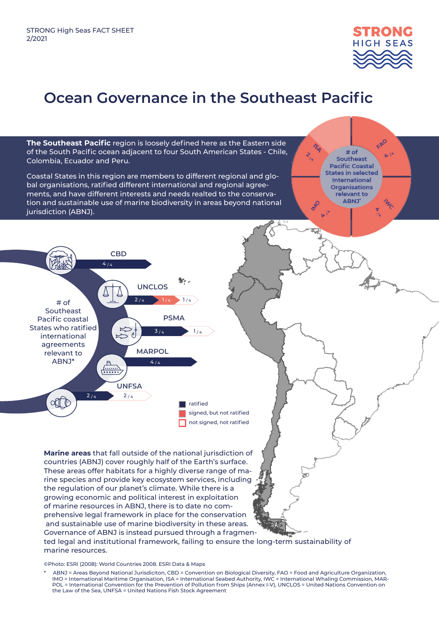

FPO

 $|x|$ 

 $# of$ 

Southeast **Pacific Coastal States in selected International Organisations** relevant to ABNJ'

## **Ocean Governance in the Southeast Pacific**

**The Southeast Pacific** region is loosely defined here as the Eastern side of the South Pacific ocean adjacent to four South American States - Chile, Colombia, Ecuador and Peru.

Coastal States in this region are members to different regional and global organisations, ratified different international and regional agreements, and have different interests and needs realted to the conservation and sustainable use of marine biodiversity in areas beyond national jurisdiction (ABNJ).



**Marine areas** that fall outside of the national jurisdiction of countries (ABNJ) cover roughly half of the Earth's surface. These areas offer habitats for a highly diverse range of marine species and provide key ecosystem services, including the regulation of our planet's climate. While there is a growing economic and political interest in exploitation of marine resources in ABNJ, there is to date no comprehensive legal framework in place for the conservation and sustainable use of marine biodiversity in these areas. Governance of ABNJ is instead pursued through a fragmented legal and institutional framework, failing to ensure the long-term sustainability of

©Photo: ESRI (2008): World Countries 2008. ESRI Data & Maps

marine resources.

ABNJ = Areas Beyond National Jurisdiciton, CBD = Convention on Biological Diversity, FAO = Food and Agriculture Organization, IMO = International Maritime Organisation, ISA = International Seabed Authority, IWC = International Whaling Commission, MAR-POL = International Convention for the Prevention of Pollution from Ships (Annex I-V), UNCLOS = United Nations Convention on the Law of the Sea, UNFSA = United Nations Fish Stock Agreement